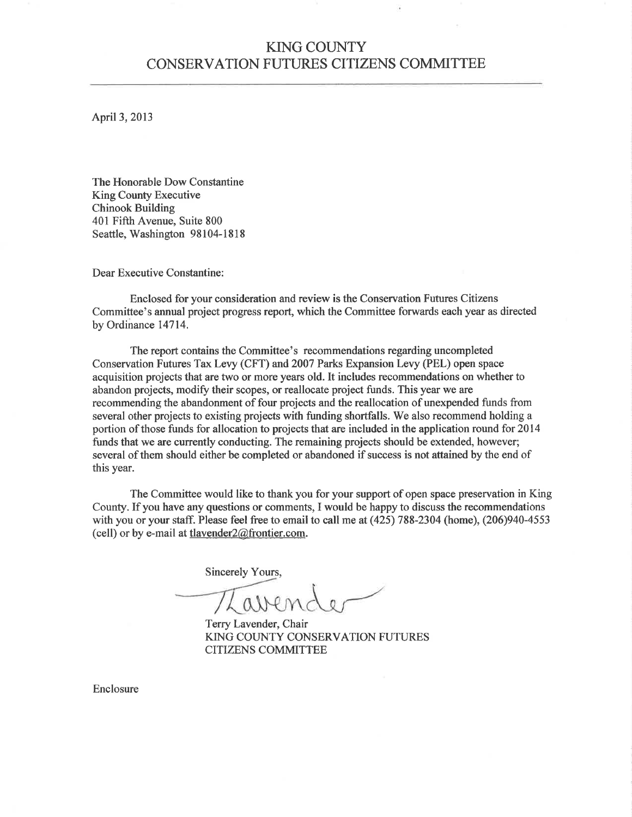## KING COUNTY CONSERVATION FUTURES CITIZENS COMMITTEE

April3,2013

The Honorable Dow Constantine King County Executive Chinook Building 401 Fifth Avenue, Suite 800 Seattle, Washington 98104-1818

Dear Executive Constantine:

Enclosed for your consideration and review is the Conservation Futures Citizens Commiffee's annual project progress report, which the Committee forwards each year as directed by Ordinance 14714.

The report contains the Committee's recommendations regarding uncompleted Conservation Futures Tax Levy (CFT) and 2007 Parks Expansion Levy (PEL) open space acquisition projects that are two or more years old. It includes recommendations on whether to abandon projects, modify their scopes, or reallocate project funds. This year we are recommending the abandonment of four projects and the reallocation of unexpended funds from several other projects to existing projects with funding shortfalls. We also recommend holding a portion of those funds for allocation to projects that are included in the application round for 2014 funds that we are currently conducting. The remaining projects should be extended, however; several of them should either be completed or abandoned if success is not attained by the end of this year.

The Committee would like to thank you for your support of open space preservation in King County. If you have any questions or comments, I would be happy to discuss the recommendations with you or your staff. Please feel free to email to call me at (425) 788-2304 (home), (206)940-4553 (cell) or by e-mail at tlavender2@frontier.com.

Sincerely Yours,

Terry Lavender, Chair KING COUNTY CONSERVATION FUTURES CITIZENS COMMITTEE

Enclosure